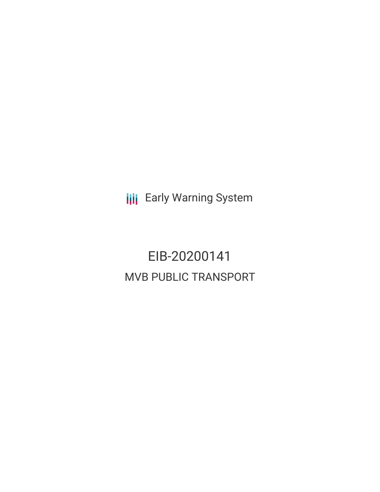**III** Early Warning System

EIB-20200141 MVB PUBLIC TRANSPORT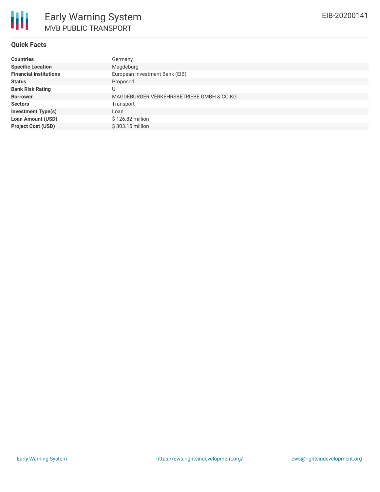## **Quick Facts**

| <b>Countries</b>              | Germany                                   |
|-------------------------------|-------------------------------------------|
| <b>Specific Location</b>      | Magdeburg                                 |
| <b>Financial Institutions</b> | European Investment Bank (EIB)            |
| <b>Status</b>                 | Proposed                                  |
| <b>Bank Risk Rating</b>       | U                                         |
| <b>Borrower</b>               | MAGDEBURGER VERKEHRSBETRIEBE GMBH & CO KG |
| <b>Sectors</b>                | Transport                                 |
| <b>Investment Type(s)</b>     | Loan                                      |
| <b>Loan Amount (USD)</b>      | \$126.82 million                          |
| <b>Project Cost (USD)</b>     | \$303.15 million                          |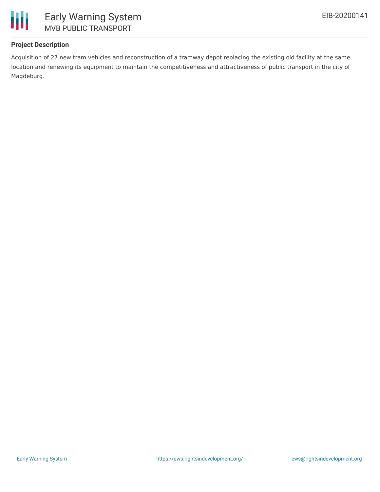

# **Project Description**

Acquisition of 27 new tram vehicles and reconstruction of a tramway depot replacing the existing old facility at the same location and renewing its equipment to maintain the competitiveness and attractiveness of public transport in the city of Magdeburg.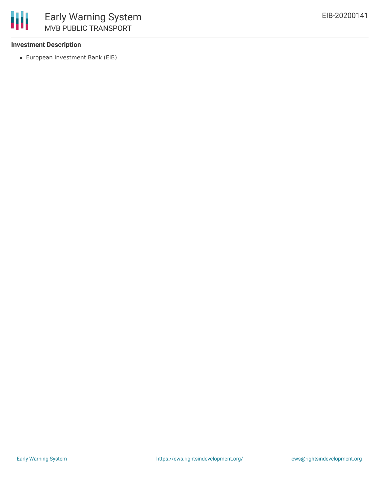## **Investment Description**

European Investment Bank (EIB)